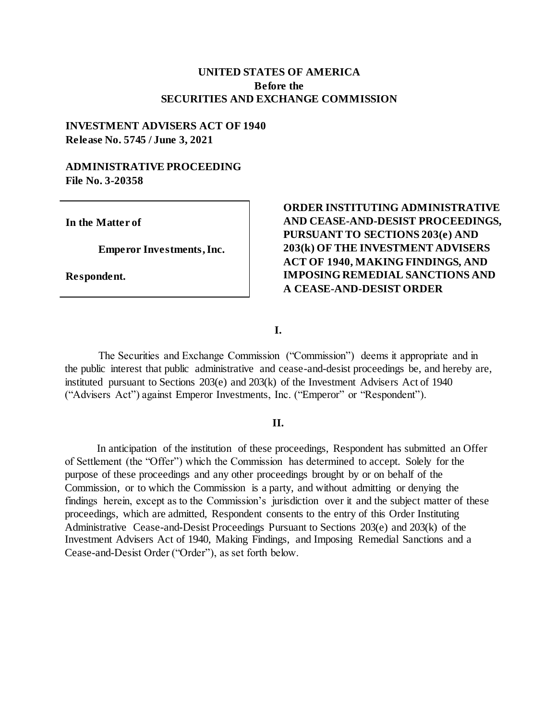# **UNITED STATES OF AMERICA Before the SECURITIES AND EXCHANGE COMMISSION**

# **INVESTMENT ADVISERS ACT OF 1940 Release No. 5745 / June 3, 2021**

#### **ADMINISTRATIVE PROCEEDING File No. 3-20358**

**In the Matter of** 

**Emperor Investments, Inc.** 

**Respondent.** 

# **ORDER INSTITUTING ADMINISTRATIVE AND CEASE-AND-DESIST PROCEEDINGS, PURSUANT TO SECTIONS 203(e) AND 203(k) OF THE INVESTMENT ADVISERS ACT OF 1940, MAKING FINDINGS, AND IMPOSING REMEDIAL SANCTIONS AND A CEASE-AND-DESIST ORDER**

**I.**

The Securities and Exchange Commission ("Commission") deems it appropriate and in the public interest that public administrative and cease-and-desist proceedings be, and hereby are, instituted pursuant to Sections 203(e) and 203(k) of the Investment Advisers Act of 1940 ("Advisers Act") against Emperor Investments, Inc. ("Emperor" or "Respondent").

#### **II.**

In anticipation of the institution of these proceedings, Respondent has submitted an Offer of Settlement (the "Offer") which the Commission has determined to accept. Solely for the purpose of these proceedings and any other proceedings brought by or on behalf of the Commission, or to which the Commission is a party, and without admitting or denying the findings herein, except as to the Commission's jurisdiction over it and the subject matter of these proceedings, which are admitted, Respondent consents to the entry of this Order Instituting Administrative Cease-and-Desist Proceedings Pursuant to Sections 203(e) and 203(k) of the Investment Advisers Act of 1940, Making Findings, and Imposing Remedial Sanctions and a Cease-and-Desist Order ("Order"), as set forth below.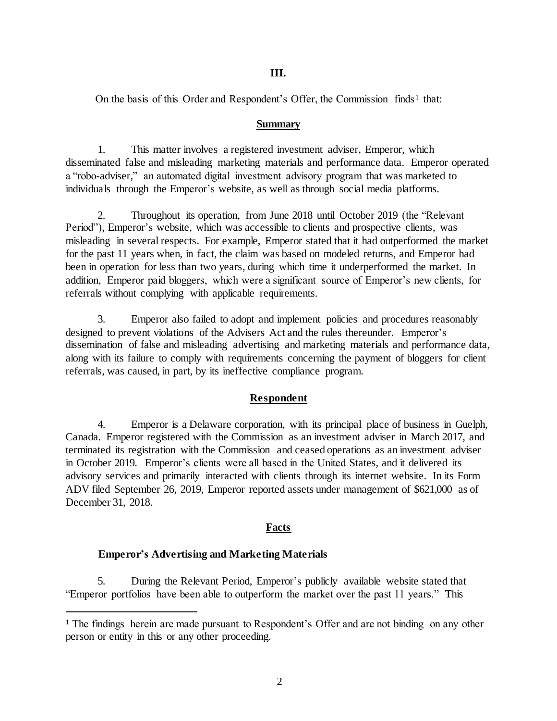#### **III.**

On the basis of this Order and Respondent's Offer, the Commission finds<sup>1</sup> that:

#### **Summary**

1. This matter involves a registered investment adviser, Emperor, which disseminated false and misleading marketing materials and performance data. Emperor operated a "robo-adviser," an automated digital investment advisory program that was marketed to individuals through the Emperor's website, as well as through social media platforms.

2. Throughout its operation, from June 2018 until October 2019 (the "Relevant Period"), Emperor's website, which was accessible to clients and prospective clients, was misleading in several respects. For example, Emperor stated that it had outperformed the market for the past 11 years when, in fact, the claim was based on modeled returns, and Emperor had been in operation for less than two years, during which time it underperformed the market. In addition, Emperor paid bloggers, which were a significant source of Emperor's new clients, for referrals without complying with applicable requirements.

3. Emperor also failed to adopt and implement policies and procedures reasonably designed to prevent violations of the Advisers Act and the rules thereunder. Emperor's dissemination of false and misleading advertising and marketing materials and performance data, along with its failure to comply with requirements concerning the payment of bloggers for client referrals, was caused, in part, by its ineffective compliance program.

## **Respondent**

4. Emperor is a Delaware corporation, with its principal place of business in Guelph, Canada. Emperor registered with the Commission as an investment adviser in March 2017, and terminated its registration with the Commission and ceased operations as an investment adviser in October 2019. Emperor's clients were all based in the United States, and it delivered its advisory services and primarily interacted with clients through its internet website. In its Form ADV filed September 26, 2019, Emperor reported assets under management of \$621,000 as of December 31, 2018.

## **Facts**

## **Emperor's Advertising and Marketing Materials**

l

5. During the Relevant Period, Emperor's publicly available website stated that "Emperor portfolios have been able to outperform the market over the past 11 years." This

 $<sup>1</sup>$  The findings herein are made pursuant to Respondent's Offer and are not binding on any other</sup> person or entity in this or any other proceeding.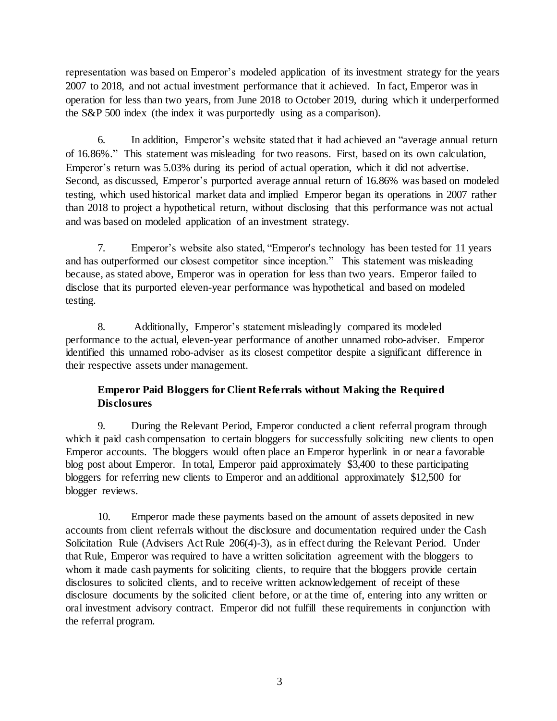representation was based on Emperor's modeled application of its investment strategy for the years 2007 to 2018, and not actual investment performance that it achieved. In fact, Emperor was in operation for less than two years, from June 2018 to October 2019, during which it underperformed the S&P 500 index (the index it was purportedly using as a comparison).

6. In addition, Emperor's website stated that it had achieved an "average annual return of 16.86%." This statement was misleading for two reasons. First, based on its own calculation, Emperor's return was 5.03% during its period of actual operation, which it did not advertise. Second, as discussed, Emperor's purported average annual return of 16.86% was based on modeled testing, which used historical market data and implied Emperor began its operations in 2007 rather than 2018 to project a hypothetical return, without disclosing that this performance was not actual and was based on modeled application of an investment strategy.

7. Emperor's website also stated, "Emperor's technology has been tested for 11 years and has outperformed our closest competitor since inception." This statement was misleading because, as stated above, Emperor was in operation for less than two years. Emperor failed to disclose that its purported eleven-year performance was hypothetical and based on modeled testing.

8. Additionally, Emperor's statement misleadingly compared its modeled performance to the actual, eleven-year performance of another unnamed robo-adviser. Emperor identified this unnamed robo-adviser as its closest competitor despite a significant difference in their respective assets under management.

# **Emperor Paid Bloggers for Client Referrals without Making the Required Disclosures**

9. During the Relevant Period, Emperor conducted a client referral program through which it paid cash compensation to certain bloggers for successfully soliciting new clients to open Emperor accounts. The bloggers would often place an Emperor hyperlink in or near a favorable blog post about Emperor. In total, Emperor paid approximately \$3,400 to these participating bloggers for referring new clients to Emperor and an additional approximately \$12,500 for blogger reviews.

10. Emperor made these payments based on the amount of assets deposited in new accounts from client referrals without the disclosure and documentation required under the Cash Solicitation Rule (Advisers Act Rule 206(4)-3), as in effect during the Relevant Period. Under that Rule, Emperor was required to have a written solicitation agreement with the bloggers to whom it made cash payments for soliciting clients, to require that the bloggers provide certain disclosures to solicited clients, and to receive written acknowledgement of receipt of these disclosure documents by the solicited client before, or at the time of, entering into any written or oral investment advisory contract. Emperor did not fulfill these requirements in conjunction with the referral program.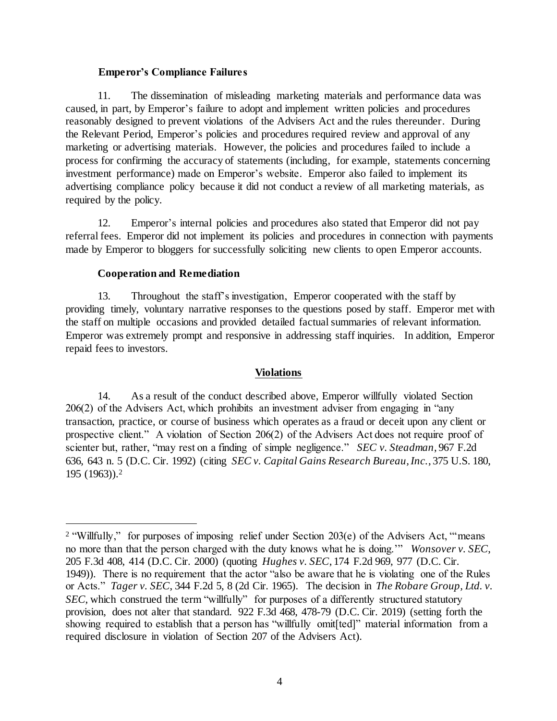## **Emperor's Compliance Failures**

11. The dissemination of misleading marketing materials and performance data was caused, in part, by Emperor's failure to adopt and implement written policies and procedures reasonably designed to prevent violations of the Advisers Act and the rules thereunder. During the Relevant Period, Emperor's policies and procedures required review and approval of any marketing or advertising materials. However, the policies and procedures failed to include a process for confirming the accuracy of statements (including, for example, statements concerning investment performance) made on Emperor's website. Emperor also failed to implement its advertising compliance policy because it did not conduct a review of all marketing materials, as required by the policy.

12. Emperor's internal policies and procedures also stated that Emperor did not pay referral fees. Emperor did not implement its policies and procedures in connection with payments made by Emperor to bloggers for successfully soliciting new clients to open Emperor accounts.

## **Cooperation and Remediation**

l

13. Throughout the staff's investigation, Emperor cooperated with the staff by providing timely, voluntary narrative responses to the questions posed by staff. Emperor met with the staff on multiple occasions and provided detailed factual summaries of relevant information. Emperor was extremely prompt and responsive in addressing staff inquiries. In addition, Emperor repaid fees to investors.

## **Violations**

14. As a result of the conduct described above, Emperor willfully violated Section 206(2) of the Advisers Act, which prohibits an investment adviser from engaging in "any transaction, practice, or course of business which operates as a fraud or deceit upon any client or prospective client." A violation of Section 206(2) of the Advisers Act does not require proof of scienter but, rather, "may rest on a finding of simple negligence." *SEC v. Steadman*, 967 F.2d 636, 643 n. 5 (D.C. Cir. 1992) (citing *SEC v. Capital Gains Research Bureau, Inc.*, 375 U.S. 180, 195 (1963)).<sup>2</sup>

<sup>&</sup>lt;sup>2</sup> "Willfully," for purposes of imposing relief under Section 203(e) of the Advisers Act, "means no more than that the person charged with the duty knows what he is doing.'" *Wonsover v. SEC*, 205 F.3d 408, 414 (D.C. Cir. 2000) (quoting *Hughes v. SEC*, 174 F.2d 969, 977 (D.C. Cir. 1949)). There is no requirement that the actor "also be aware that he is violating one of the Rules or Acts." *Tager v. SEC*, 344 F.2d 5, 8 (2d Cir. 1965). The decision in *The Robare Group, Ltd. v.*  SEC, which construed the term "willfully" for purposes of a differently structured statutory provision, does not alter that standard. 922 F.3d 468, 478-79 (D.C. Cir. 2019) (setting forth the showing required to establish that a person has "willfully omit[ted]" material information from a required disclosure in violation of Section 207 of the Advisers Act).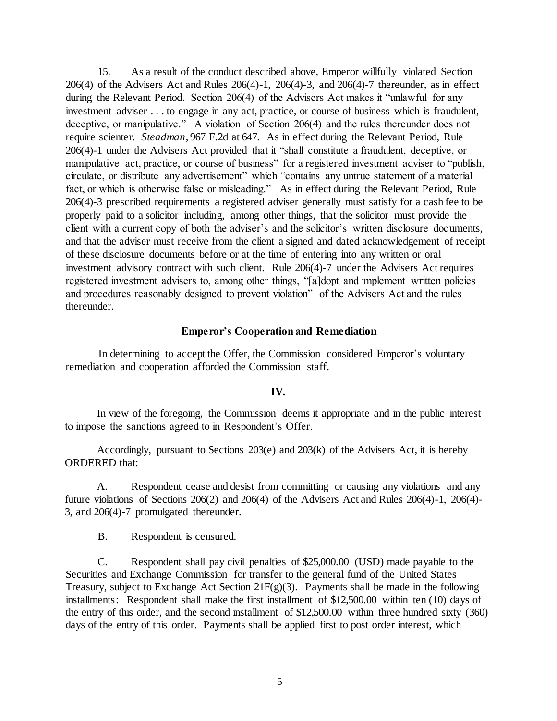15. As a result of the conduct described above, Emperor willfully violated Section 206(4) of the Advisers Act and Rules 206(4)-1, 206(4)-3, and 206(4)-7 thereunder, as in effect during the Relevant Period. Section 206(4) of the Advisers Act makes it "unlawful for any investment adviser . . . to engage in any act, practice, or course of business which is fraudulent, deceptive, or manipulative." A violation of Section 206(4) and the rules thereunder does not require scienter. *Steadman*, 967 F.2d at 647. As in effect during the Relevant Period, Rule 206(4)-1 under the Advisers Act provided that it "shall constitute a fraudulent, deceptive, or manipulative act, practice, or course of business" for a registered investment adviser to "publish, circulate, or distribute any advertisement" which "contains any untrue statement of a material fact, or which is otherwise false or misleading." As in effect during the Relevant Period, Rule 206(4)-3 prescribed requirements a registered adviser generally must satisfy for a cash fee to be properly paid to a solicitor including, among other things, that the solicitor must provide the client with a current copy of both the adviser's and the solicitor's written disclosure documents, and that the adviser must receive from the client a signed and dated acknowledgement of receipt of these disclosure documents before or at the time of entering into any written or oral investment advisory contract with such client. Rule 206(4)-7 under the Advisers Act requires registered investment advisers to, among other things, "[a]dopt and implement written policies and procedures reasonably designed to prevent violation" of the Advisers Act and the rules thereunder.

#### **Emperor's Cooperation and Remediation**

In determining to accept the Offer, the Commission considered Emperor's voluntary remediation and cooperation afforded the Commission staff.

#### **IV.**

In view of the foregoing, the Commission deems it appropriate and in the public interest to impose the sanctions agreed to in Respondent's Offer.

Accordingly, pursuant to Sections 203(e) and 203(k) of the Advisers Act, it is hereby ORDERED that:

A. Respondent cease and desist from committing or causing any violations and any future violations of Sections 206(2) and 206(4) of the Advisers Act and Rules 206(4)-1, 206(4)- 3, and 206(4)-7 promulgated thereunder.

B. Respondent is censured.

C. Respondent shall pay civil penalties of \$25,000.00 (USD) made payable to the Securities and Exchange Commission for transfer to the general fund of the United States Treasury, subject to Exchange Act Section  $21F(g)(3)$ . Payments shall be made in the following installments: Respondent shall make the first installment of \$12,500.00 within ten (10) days of the entry of this order, and the second installment of \$12,500.00 within three hundred sixty (360) days of the entry of this order. Payments shall be applied first to post order interest, which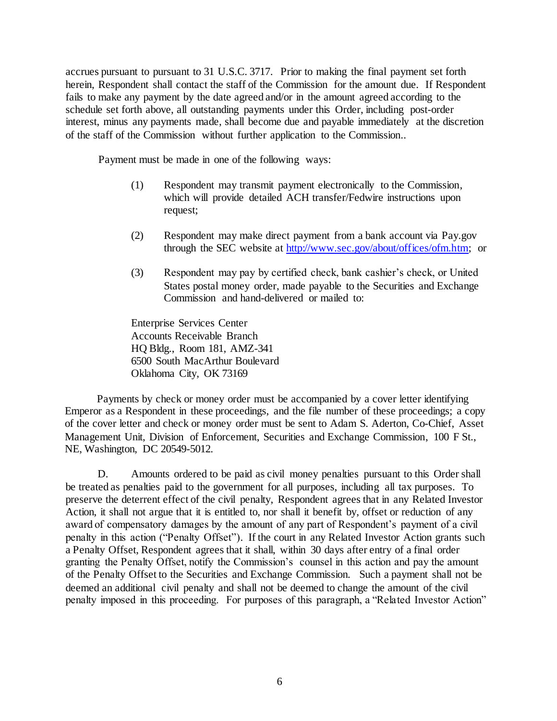accrues pursuant to pursuant to 31 U.S.C. 3717. Prior to making the final payment set forth herein, Respondent shall contact the staff of the Commission for the amount due. If Respondent fails to make any payment by the date agreed and/or in the amount agreed according to the schedule set forth above, all outstanding payments under this Order, including post-order interest, minus any payments made, shall become due and payable immediately at the discretion of the staff of the Commission without further application to the Commission..

Payment must be made in one of the following ways:

- (1) Respondent may transmit payment electronically to the Commission, which will provide detailed ACH transfer/Fedwire instructions upon request;
- (2) Respondent may make direct payment from a bank account via Pay.gov through the SEC website at [http://www.sec.gov/about/offices/ofm.htm;](http://www.sec.gov/about/offices/ofm.htm) or
- (3) Respondent may pay by certified check, bank cashier's check, or United States postal money order, made payable to the Securities and Exchange Commission and hand-delivered or mailed to:

Enterprise Services Center Accounts Receivable Branch HQ Bldg., Room 181, AMZ-341 6500 South MacArthur Boulevard Oklahoma City, OK 73169

Payments by check or money order must be accompanied by a cover letter identifying Emperor as a Respondent in these proceedings, and the file number of these proceedings; a copy of the cover letter and check or money order must be sent to Adam S. Aderton, Co-Chief, Asset Management Unit, Division of Enforcement, Securities and Exchange Commission, 100 F St., NE, Washington, DC 20549-5012.

D. Amounts ordered to be paid as civil money penalties pursuant to this Order shall be treated as penalties paid to the government for all purposes, including all tax purposes. To preserve the deterrent effect of the civil penalty, Respondent agrees that in any Related Investor Action, it shall not argue that it is entitled to, nor shall it benefit by, offset or reduction of any award of compensatory damages by the amount of any part of Respondent's payment of a civil penalty in this action ("Penalty Offset"). If the court in any Related Investor Action grants such a Penalty Offset, Respondent agrees that it shall, within 30 days after entry of a final order granting the Penalty Offset, notify the Commission's counsel in this action and pay the amount of the Penalty Offset to the Securities and Exchange Commission. Such a payment shall not be deemed an additional civil penalty and shall not be deemed to change the amount of the civil penalty imposed in this proceeding. For purposes of this paragraph, a "Related Investor Action"